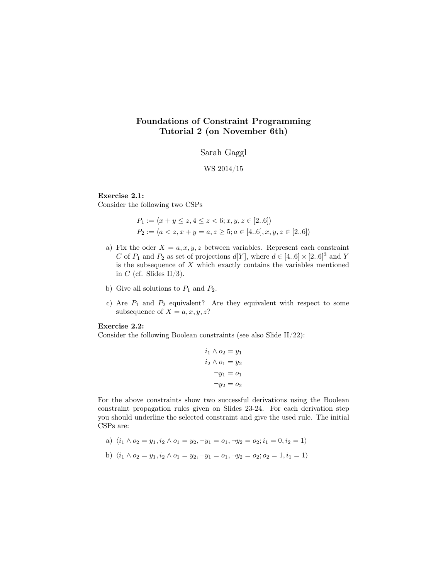# Foundations of Constraint Programming Tutorial 2 (on November 6th)

### Sarah Gaggl

WS 2014/15

## Exercise 2.1:

Consider the following two CSPs

$$
P_1 := \langle x + y \le z, 4 \le z < 6; x, y, z \in [2..6] \rangle
$$
  
\n
$$
P_2 := \langle a < z, x + y = a, z \ge 5; a \in [4..6], x, y, z \in [2..6] \rangle
$$

- a) Fix the oder  $X = a, x, y, z$  between variables. Represent each constraint C of  $P_1$  and  $P_2$  as set of projections  $d[Y]$ , where  $d \in [4..6] \times [2..6]^3$  and Y is the subsequence of  $X$  which exactly contains the variables mentioned in C (cf. Slides  $II/3$ ).
- b) Give all solutions to  $P_1$  and  $P_2$ .
- c) Are  $P_1$  and  $P_2$  equivalent? Are they equivalent with respect to some subsequence of  $X = a, x, y, z$ ?

#### Exercise 2.2:

Consider the following Boolean constraints (see also Slide II/22):

$$
i_1 \wedge o_2 = y_1
$$

$$
i_2 \wedge o_1 = y_2
$$

$$
\neg y_1 = o_1
$$

$$
\neg y_2 = o_2
$$

For the above constraints show two successful derivations using the Boolean constraint propagation rules given on Slides 23-24. For each derivation step you should underline the selected constraint and give the used rule. The initial CSPs are:

- a)  $\langle i_1 \wedge o_2 = y_1, i_2 \wedge o_1 = y_2, \neg y_1 = o_1, \neg y_2 = o_2; i_1 = 0, i_2 = 1 \rangle$
- b)  $\langle i_1 \wedge o_2 = y_1, i_2 \wedge o_1 = y_2, \neg y_1 = o_1, \neg y_2 = o_2; o_2 = 1, i_1 = 1 \rangle$